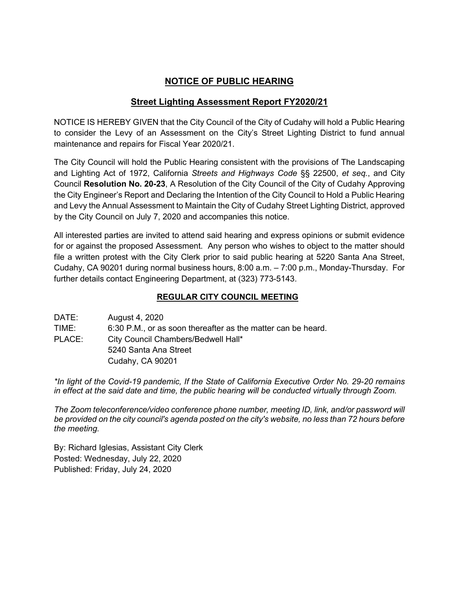# **NOTICE OF PUBLIC HEARING**

## **Street Lighting Assessment Report FY2020/21**

NOTICE IS HEREBY GIVEN that the City Council of the City of Cudahy will hold a Public Hearing to consider the Levy of an Assessment on the City's Street Lighting District to fund annual maintenance and repairs for Fiscal Year 2020/21.

The City Council will hold the Public Hearing consistent with the provisions of The Landscaping and Lighting Act of 1972, California *Streets and Highways Code* §§ 22500, *et seq.*, and City Council **Resolution No. 20-23**, A Resolution of the City Council of the City of Cudahy Approving the City Engineer's Report and Declaring the Intention of the City Council to Hold a Public Hearing and Levy the Annual Assessment to Maintain the City of Cudahy Street Lighting District, approved by the City Council on July 7, 2020 and accompanies this notice.

All interested parties are invited to attend said hearing and express opinions or submit evidence for or against the proposed Assessment. Any person who wishes to object to the matter should file a written protest with the City Clerk prior to said public hearing at 5220 Santa Ana Street, Cudahy, CA 90201 during normal business hours, 8:00 a.m. – 7:00 p.m., Monday-Thursday. For further details contact Engineering Department, at (323) 773-5143.

## **REGULAR CITY COUNCIL MEETING**

| DATE:  | August 4, 2020                                               |
|--------|--------------------------------------------------------------|
| TIME:  | 6:30 P.M., or as soon thereafter as the matter can be heard. |
| PLACE: | City Council Chambers/Bedwell Hall*                          |
|        | 5240 Santa Ana Street                                        |
|        | Cudahy, CA 90201                                             |

*\*In light of the Covid-19 pandemic, If the State of California Executive Order No. 29-20 remains in effect at the said date and time, the public hearing will be conducted virtually through Zoom.*

*The Zoom teleconference/video conference phone number, meeting ID, link, and/or password will be provided on the city council's agenda posted on the city's website, no less than 72 hours before the meeting.*

By: Richard Iglesias, Assistant City Clerk Posted: Wednesday, July 22, 2020 Published: Friday, July 24, 2020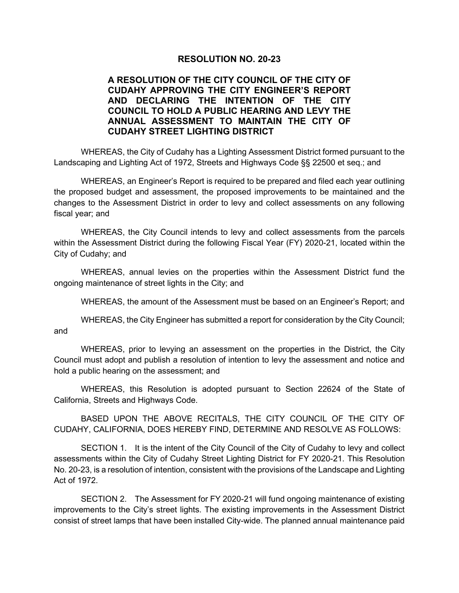### **RESOLUTION NO. 20-23**

### **A RESOLUTION OF THE CITY COUNCIL OF THE CITY OF CUDAHY APPROVING THE CITY ENGINEER'S REPORT AND DECLARING THE INTENTION OF THE CITY COUNCIL TO HOLD A PUBLIC HEARING AND LEVY THE ANNUAL ASSESSMENT TO MAINTAIN THE CITY OF CUDAHY STREET LIGHTING DISTRICT**

WHEREAS, the City of Cudahy has a Lighting Assessment District formed pursuant to the Landscaping and Lighting Act of 1972, Streets and Highways Code §§ 22500 et seq.; and

WHEREAS, an Engineer's Report is required to be prepared and filed each year outlining the proposed budget and assessment, the proposed improvements to be maintained and the changes to the Assessment District in order to levy and collect assessments on any following fiscal year; and

WHEREAS, the City Council intends to levy and collect assessments from the parcels within the Assessment District during the following Fiscal Year (FY) 2020-21, located within the City of Cudahy; and

WHEREAS, annual levies on the properties within the Assessment District fund the ongoing maintenance of street lights in the City; and

WHEREAS, the amount of the Assessment must be based on an Engineer's Report; and

WHEREAS, the City Engineer has submitted a report for consideration by the City Council; and

WHEREAS, prior to levying an assessment on the properties in the District, the City Council must adopt and publish a resolution of intention to levy the assessment and notice and hold a public hearing on the assessment; and

WHEREAS, this Resolution is adopted pursuant to Section 22624 of the State of California, Streets and Highways Code.

BASED UPON THE ABOVE RECITALS, THE CITY COUNCIL OF THE CITY OF CUDAHY, CALIFORNIA, DOES HEREBY FIND, DETERMINE AND RESOLVE AS FOLLOWS:

SECTION 1. It is the intent of the City Council of the City of Cudahy to levy and collect assessments within the City of Cudahy Street Lighting District for FY 2020-21. This Resolution No. 20-23, is a resolution of intention, consistent with the provisions of the Landscape and Lighting Act of 1972.

SECTION 2. The Assessment for FY 2020-21 will fund ongoing maintenance of existing improvements to the City's street lights. The existing improvements in the Assessment District consist of street lamps that have been installed City-wide. The planned annual maintenance paid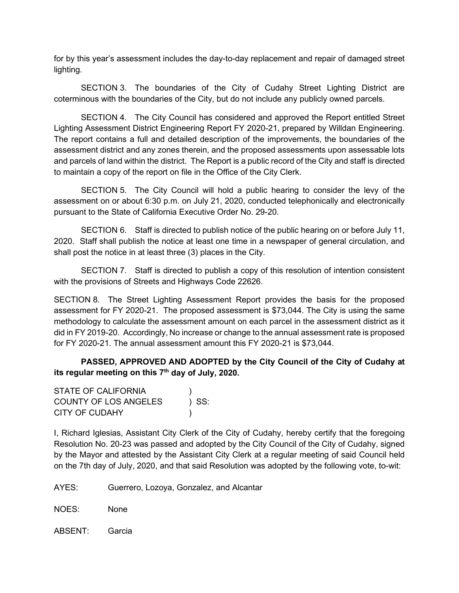for by this year's assessment includes the day-to-day replacement and repair of damaged street lighting.

SECTION 3. The boundaries of the City of Cudahy Street Lighting District are coterminous with the boundaries of the City, but do not include any publicly owned parcels.

SECTION 4. The City Council has considered and approved the Report entitled Street Lighting Assessment District Engineering Report FY 2020-21, prepared by Willdan Engineering. The report contains a full and detailed description of the improvements, the boundaries of the assessment district and any zones therein, and the proposed assessments upon assessable lots and parcels of land within the district. The Report is a public record of the City and staff is directed to maintain a copy of the report on file in the Office of the City Clerk.

SECTION 5. The City Council will hold a public hearing to consider the levy of the assessment on or about 6:30 p.m. on July 21, 2020, conducted telephonically and electronically pursuant to the State of California Executive Order No. 29-20.

SECTION 6. Staff is directed to publish notice of the public hearing on or before July 11, 2020. Staff shall publish the notice at least one time in a newspaper of general circulation, and shall post the notice in at least three (3) places in the City.

SECTION 7. Staff is directed to publish a copy of this resolution of intention consistent with the provisions of Streets and Highways Code 22626.

SECTION 8. The Street Lighting Assessment Report provides the basis for the proposed assessment for FY 2020-21. The proposed assessment is \$73,044. The City is using the same methodology to calculate the assessment amount on each parcel in the assessment district as it did in FY 2019-20. Accordingly, No increase or change to the annual assessment rate is proposed for FY 2020-21. The annual assessment amount this FY 2020-21 is \$73,044.

**PASSED, APPROVED AND ADOPTED by the City Council of the City of Cudahy at its regular meeting on this 7th day of July, 2020.**

| STATE OF CALIFORNIA   |         |
|-----------------------|---------|
| COUNTY OF LOS ANGELES | $)$ SS: |
| CITY OF CUDAHY        |         |

I, Richard Iglesias, Assistant City Clerk of the City of Cudahy, hereby certify that the foregoing Resolution No. 20-23 was passed and adopted by the City Council of the City of Cudahy, signed by the Mayor and attested by the Assistant City Clerk at a regular meeting of said Council held on the 7th day of July, 2020, and that said Resolution was adopted by the following vote, to-wit:

AYES: Guerrero, Lozoya, Gonzalez, and Alcantar

NOES: None

ABSENT: Garcia